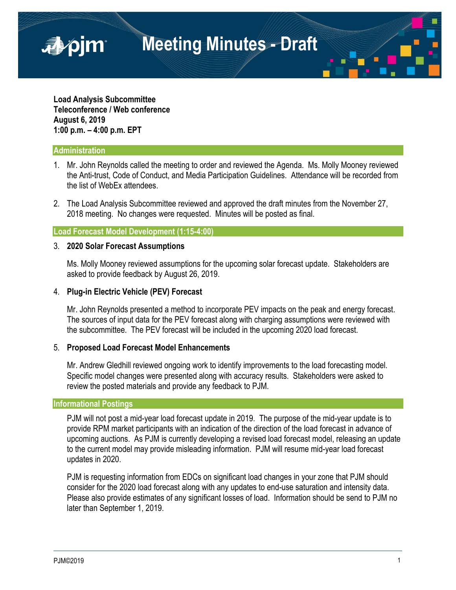**Meeting Minutes - Draft**

**Load Analysis Subcommittee Teleconference / Web conference August 6, 2019 1:00 p.m. – 4:00 p.m. EPT**

## **Administration**

■pjm

- 1. Mr. John Reynolds called the meeting to order and reviewed the Agenda. Ms. Molly Mooney reviewed the Anti-trust, Code of Conduct, and Media Participation Guidelines. Attendance will be recorded from the list of WebEx attendees.
- 2. The Load Analysis Subcommittee reviewed and approved the draft minutes from the November 27, 2018 meeting. No changes were requested. Minutes will be posted as final.

# **Load Forecast Model Development (1:15-4:00)**

#### 3. **2020 Solar Forecast Assumptions**

Ms. Molly Mooney reviewed assumptions for the upcoming solar forecast update. Stakeholders are asked to provide feedback by August 26, 2019.

## 4. **Plug-in Electric Vehicle (PEV) Forecast**

Mr. John Reynolds presented a method to incorporate PEV impacts on the peak and energy forecast. The sources of input data for the PEV forecast along with charging assumptions were reviewed with the subcommittee. The PEV forecast will be included in the upcoming 2020 load forecast.

#### 5. **Proposed Load Forecast Model Enhancements**

Mr. Andrew Gledhill reviewed ongoing work to identify improvements to the load forecasting model. Specific model changes were presented along with accuracy results. Stakeholders were asked to review the posted materials and provide any feedback to PJM.

#### **Informational Postings**

PJM will not post a mid-year load forecast update in 2019. The purpose of the mid-year update is to provide RPM market participants with an indication of the direction of the load forecast in advance of upcoming auctions. As PJM is currently developing a revised load forecast model, releasing an update to the current model may provide misleading information. PJM will resume mid-year load forecast updates in 2020.

PJM is requesting information from EDCs on significant load changes in your zone that PJM should consider for the 2020 load forecast along with any updates to end-use saturation and intensity data. Please also provide estimates of any significant losses of load. Information should be send to PJM no later than September 1, 2019.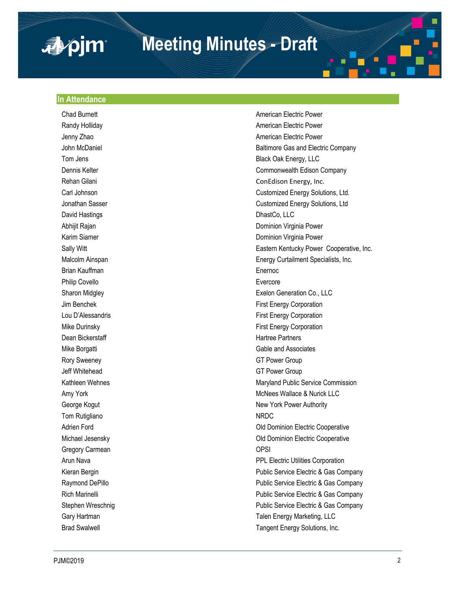# **Meeting Minutes - Draft**

#### **In Attendance**

apim

**Chad Burnett** Changer American Electric Power David Hastings **DhastCo, LLC** Brian Kauffman **Enernoc** Enernoc Philip Covello **Evercore** Dean Bickerstaff **Hartree Partners Hartree Partners** Rory Sweeney GT Power Group Jeff Whitehead GT Power Group Tom Rutigliano NRDC Gregory Carmean **OPSI** 

Randy Holliday **American Electric Power American Electric Power** Jenny Zhao **American Electric Power** American Electric Power John McDaniel **Baltimore Gas and Electric Company** Tom Jens Black Oak Energy, LLC Dennis Kelter Commonwealth Edison Company Rehan Gilani ConEdison Energy, Inc. Carl Johnson Customized Energy Solutions, Ltd. Jonathan Sasser Customized Energy Solutions, Ltd Abhijit Rajan Dominion Virginia Power Karim Siamer **Dominion Virginia Power Community** Dominion Virginia Power Sally Witt **Eastern Kentucky Power Cooperative**, Inc. Malcolm Ainspan Energy Curtailment Specialists, Inc. Sharon Midgley Exelon Generation Co., LLC Jim Benchek First Energy Corporation Lou D'Alessandris **Election** Einst Energy Corporation Mike Durinsky First Energy Corporation Mike Borgatti Gable and Associates Kathleen Wehnes Maryland Public Service Commission Amy York **McNees Wallace & Nurick LLC** George Kogut New York Power Authority Adrien Ford **Adrien Ford Cooperative Cooperative Old Dominion Electric Cooperative** Michael Jesensky Old Dominion Electric Cooperative Arun Nava<br>
PPL Electric Utilities Corporation Kieran Bergin **Public Service Electric & Gas Company** Public Service Electric & Gas Company Raymond DePillo **Public Service Electric & Gas Company** Public Service Electric & Gas Company Rich Marinelli **Number 2018** 2019 12:30 Public Service Electric & Gas Company Stephen Wreschnig **Public Service Electric & Gas Company** Public Service Electric & Gas Company Gary Hartman **Talen Energy Marketing, LLC** Brad Swalwell **Tangent Energy Solutions**, Inc.